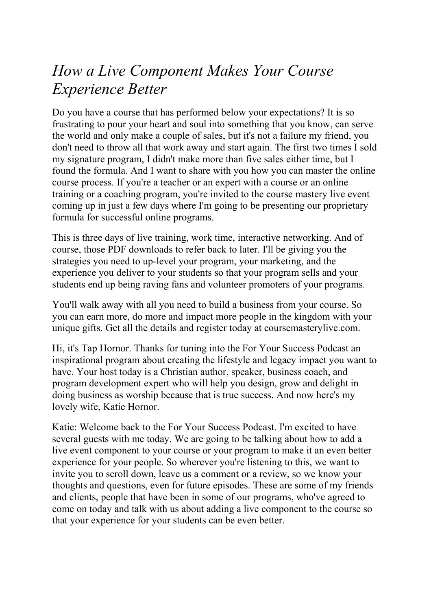## *How a Live Component Makes Your Course Experience Better*

Do you have a course that has performed below your expectations? It is so frustrating to pour your heart and soul into something that you know, can serve the world and only make a couple of sales, but it's not a failure my friend, you don't need to throw all that work away and start again. The first two times I sold my signature program, I didn't make more than five sales either time, but I found the formula. And I want to share with you how you can master the online course process. If you're a teacher or an expert with a course or an online training or a coaching program, you're invited to the course mastery live event coming up in just a few days where I'm going to be presenting our proprietary formula for successful online programs.

This is three days of live training, work time, interactive networking. And of course, those PDF downloads to refer back to later. I'll be giving you the strategies you need to up-level your program, your marketing, and the experience you deliver to your students so that your program sells and your students end up being raving fans and volunteer promoters of your programs.

You'll walk away with all you need to build a business from your course. So you can earn more, do more and impact more people in the kingdom with your unique gifts. Get all the details and register today at coursemasterylive.com.

Hi, it's Tap Hornor. Thanks for tuning into the For Your Success Podcast an inspirational program about creating the lifestyle and legacy impact you want to have. Your host today is a Christian author, speaker, business coach, and program development expert who will help you design, grow and delight in doing business as worship because that is true success. And now here's my lovely wife, Katie Hornor.

Katie: Welcome back to the For Your Success Podcast. I'm excited to have several guests with me today. We are going to be talking about how to add a live event component to your course or your program to make it an even better experience for your people. So wherever you're listening to this, we want to invite you to scroll down, leave us a comment or a review, so we know your thoughts and questions, even for future episodes. These are some of my friends and clients, people that have been in some of our programs, who've agreed to come on today and talk with us about adding a live component to the course so that your experience for your students can be even better.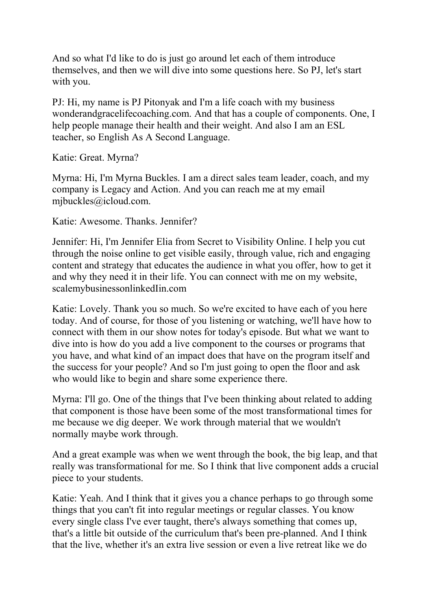And so what I'd like to do is just go around let each of them introduce themselves, and then we will dive into some questions here. So PJ, let's start with you.

PJ: Hi, my name is PJ Pitonyak and I'm a life coach with my business wonderandgracelifecoaching.com. And that has a couple of components. One, I help people manage their health and their weight. And also I am an ESL teacher, so English As A Second Language.

Katie: Great. Myrna?

Myrna: Hi, I'm Myrna Buckles. I am a direct sales team leader, coach, and my company is Legacy and Action. And you can reach me at my email mjbuckles@icloud.com.

Katie: Awesome. Thanks. Jennifer?

Jennifer: Hi, I'm Jennifer Elia from Secret to Visibility Online. I help you cut through the noise online to get visible easily, through value, rich and engaging content and strategy that educates the audience in what you offer, how to get it and why they need it in their life. You can connect with me on my website, scalemybusinessonlinkedIin.com

Katie: Lovely. Thank you so much. So we're excited to have each of you here today. And of course, for those of you listening or watching, we'll have how to connect with them in our show notes for today's episode. But what we want to dive into is how do you add a live component to the courses or programs that you have, and what kind of an impact does that have on the program itself and the success for your people? And so I'm just going to open the floor and ask who would like to begin and share some experience there.

Myrna: I'll go. One of the things that I've been thinking about related to adding that component is those have been some of the most transformational times for me because we dig deeper. We work through material that we wouldn't normally maybe work through.

And a great example was when we went through the book, the big leap, and that really was transformational for me. So I think that live component adds a crucial piece to your students.

Katie: Yeah. And I think that it gives you a chance perhaps to go through some things that you can't fit into regular meetings or regular classes. You know every single class I've ever taught, there's always something that comes up, that's a little bit outside of the curriculum that's been pre-planned. And I think that the live, whether it's an extra live session or even a live retreat like we do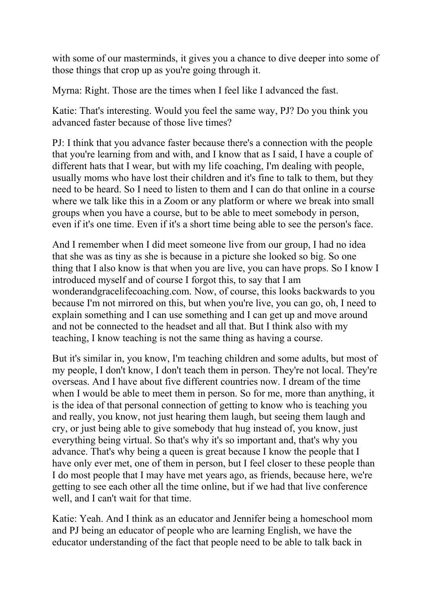with some of our masterminds, it gives you a chance to dive deeper into some of those things that crop up as you're going through it.

Myrna: Right. Those are the times when I feel like I advanced the fast.

Katie: That's interesting. Would you feel the same way, PJ? Do you think you advanced faster because of those live times?

PJ: I think that you advance faster because there's a connection with the people that you're learning from and with, and I know that as I said, I have a couple of different hats that I wear, but with my life coaching, I'm dealing with people, usually moms who have lost their children and it's fine to talk to them, but they need to be heard. So I need to listen to them and I can do that online in a course where we talk like this in a Zoom or any platform or where we break into small groups when you have a course, but to be able to meet somebody in person, even if it's one time. Even if it's a short time being able to see the person's face.

And I remember when I did meet someone live from our group, I had no idea that she was as tiny as she is because in a picture she looked so big. So one thing that I also know is that when you are live, you can have props. So I know I introduced myself and of course I forgot this, to say that I am wonderandgracelifecoaching.com. Now, of course, this looks backwards to you because I'm not mirrored on this, but when you're live, you can go, oh, I need to explain something and I can use something and I can get up and move around and not be connected to the headset and all that. But I think also with my teaching, I know teaching is not the same thing as having a course.

But it's similar in, you know, I'm teaching children and some adults, but most of my people, I don't know, I don't teach them in person. They're not local. They're overseas. And I have about five different countries now. I dream of the time when I would be able to meet them in person. So for me, more than anything, it is the idea of that personal connection of getting to know who is teaching you and really, you know, not just hearing them laugh, but seeing them laugh and cry, or just being able to give somebody that hug instead of, you know, just everything being virtual. So that's why it's so important and, that's why you advance. That's why being a queen is great because I know the people that I have only ever met, one of them in person, but I feel closer to these people than I do most people that I may have met years ago, as friends, because here, we're getting to see each other all the time online, but if we had that live conference well, and I can't wait for that time.

Katie: Yeah. And I think as an educator and Jennifer being a homeschool mom and PJ being an educator of people who are learning English, we have the educator understanding of the fact that people need to be able to talk back in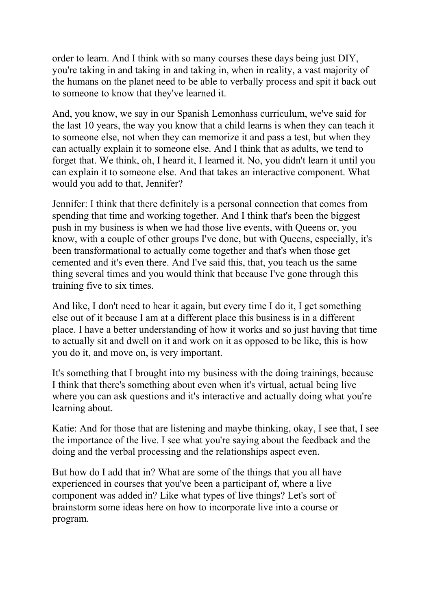order to learn. And I think with so many courses these days being just DIY, you're taking in and taking in and taking in, when in reality, a vast majority of the humans on the planet need to be able to verbally process and spit it back out to someone to know that they've learned it.

And, you know, we say in our Spanish Lemonhass curriculum, we've said for the last 10 years, the way you know that a child learns is when they can teach it to someone else, not when they can memorize it and pass a test, but when they can actually explain it to someone else. And I think that as adults, we tend to forget that. We think, oh, I heard it, I learned it. No, you didn't learn it until you can explain it to someone else. And that takes an interactive component. What would you add to that, Jennifer?

Jennifer: I think that there definitely is a personal connection that comes from spending that time and working together. And I think that's been the biggest push in my business is when we had those live events, with Queens or, you know, with a couple of other groups I've done, but with Queens, especially, it's been transformational to actually come together and that's when those get cemented and it's even there. And I've said this, that, you teach us the same thing several times and you would think that because I've gone through this training five to six times.

And like, I don't need to hear it again, but every time I do it, I get something else out of it because I am at a different place this business is in a different place. I have a better understanding of how it works and so just having that time to actually sit and dwell on it and work on it as opposed to be like, this is how you do it, and move on, is very important.

It's something that I brought into my business with the doing trainings, because I think that there's something about even when it's virtual, actual being live where you can ask questions and it's interactive and actually doing what you're learning about.

Katie: And for those that are listening and maybe thinking, okay, I see that, I see the importance of the live. I see what you're saying about the feedback and the doing and the verbal processing and the relationships aspect even.

But how do I add that in? What are some of the things that you all have experienced in courses that you've been a participant of, where a live component was added in? Like what types of live things? Let's sort of brainstorm some ideas here on how to incorporate live into a course or program.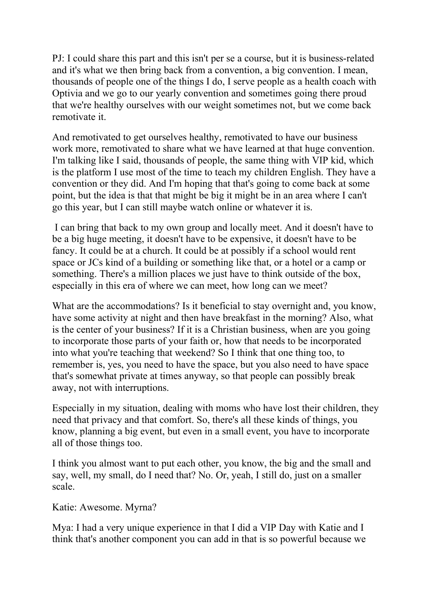PJ: I could share this part and this isn't per se a course, but it is business-related and it's what we then bring back from a convention, a big convention. I mean, thousands of people one of the things I do, I serve people as a health coach with Optivia and we go to our yearly convention and sometimes going there proud that we're healthy ourselves with our weight sometimes not, but we come back remotivate it.

And remotivated to get ourselves healthy, remotivated to have our business work more, remotivated to share what we have learned at that huge convention. I'm talking like I said, thousands of people, the same thing with VIP kid, which is the platform I use most of the time to teach my children English. They have a convention or they did. And I'm hoping that that's going to come back at some point, but the idea is that that might be big it might be in an area where I can't go this year, but I can still maybe watch online or whatever it is.

 I can bring that back to my own group and locally meet. And it doesn't have to be a big huge meeting, it doesn't have to be expensive, it doesn't have to be fancy. It could be at a church. It could be at possibly if a school would rent space or JCs kind of a building or something like that, or a hotel or a camp or something. There's a million places we just have to think outside of the box, especially in this era of where we can meet, how long can we meet?

What are the accommodations? Is it beneficial to stay overnight and, you know, have some activity at night and then have breakfast in the morning? Also, what is the center of your business? If it is a Christian business, when are you going to incorporate those parts of your faith or, how that needs to be incorporated into what you're teaching that weekend? So I think that one thing too, to remember is, yes, you need to have the space, but you also need to have space that's somewhat private at times anyway, so that people can possibly break away, not with interruptions.

Especially in my situation, dealing with moms who have lost their children, they need that privacy and that comfort. So, there's all these kinds of things, you know, planning a big event, but even in a small event, you have to incorporate all of those things too.

I think you almost want to put each other, you know, the big and the small and say, well, my small, do I need that? No. Or, yeah, I still do, just on a smaller scale.

Katie: Awesome. Myrna?

Mya: I had a very unique experience in that I did a VIP Day with Katie and I think that's another component you can add in that is so powerful because we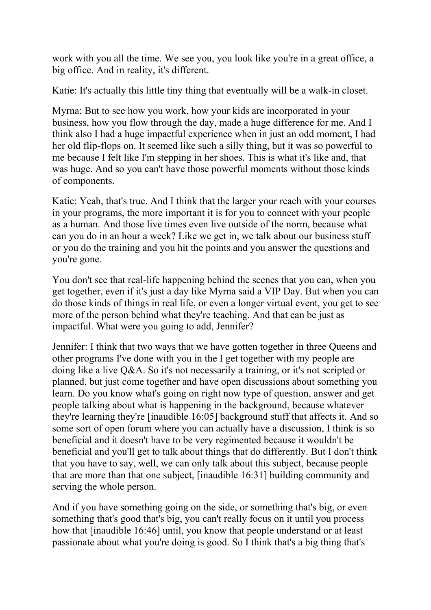work with you all the time. We see you, you look like you're in a great office, a big office. And in reality, it's different.

Katie: It's actually this little tiny thing that eventually will be a walk-in closet.

Myrna: But to see how you work, how your kids are incorporated in your business, how you flow through the day, made a huge difference for me. And I think also I had a huge impactful experience when in just an odd moment, I had her old flip-flops on. It seemed like such a silly thing, but it was so powerful to me because I felt like I'm stepping in her shoes. This is what it's like and, that was huge. And so you can't have those powerful moments without those kinds of components.

Katie: Yeah, that's true. And I think that the larger your reach with your courses in your programs, the more important it is for you to connect with your people as a human. And those live times even live outside of the norm, because what can you do in an hour a week? Like we get in, we talk about our business stuff or you do the training and you hit the points and you answer the questions and you're gone.

You don't see that real-life happening behind the scenes that you can, when you get together, even if it's just a day like Myrna said a VIP Day. But when you can do those kinds of things in real life, or even a longer virtual event, you get to see more of the person behind what they're teaching. And that can be just as impactful. What were you going to add, Jennifer?

Jennifer: I think that two ways that we have gotten together in three Queens and other programs I've done with you in the I get together with my people are doing like a live Q&A. So it's not necessarily a training, or it's not scripted or planned, but just come together and have open discussions about something you learn. Do you know what's going on right now type of question, answer and get people talking about what is happening in the background, because whatever they're learning they're [inaudible 16:05] background stuff that affects it. And so some sort of open forum where you can actually have a discussion, I think is so beneficial and it doesn't have to be very regimented because it wouldn't be beneficial and you'll get to talk about things that do differently. But I don't think that you have to say, well, we can only talk about this subject, because people that are more than that one subject, [inaudible 16:31] building community and serving the whole person.

And if you have something going on the side, or something that's big, or even something that's good that's big, you can't really focus on it until you process how that [inaudible 16:46] until, you know that people understand or at least passionate about what you're doing is good. So I think that's a big thing that's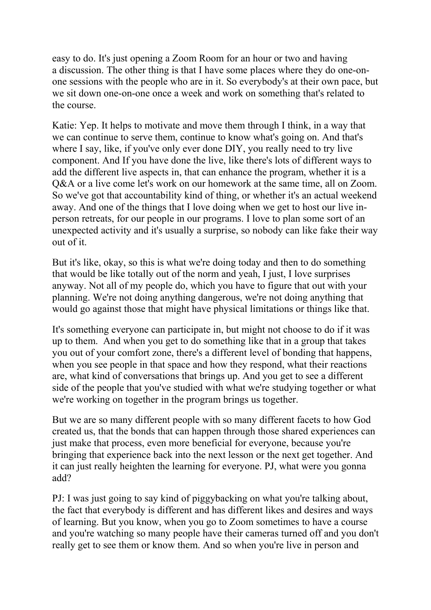easy to do. It's just opening a Zoom Room for an hour or two and having a discussion. The other thing is that I have some places where they do one-onone sessions with the people who are in it. So everybody's at their own pace, but we sit down one-on-one once a week and work on something that's related to the course.

Katie: Yep. It helps to motivate and move them through I think, in a way that we can continue to serve them, continue to know what's going on. And that's where I say, like, if you've only ever done DIY, you really need to try live component. And If you have done the live, like there's lots of different ways to add the different live aspects in, that can enhance the program, whether it is a Q&A or a live come let's work on our homework at the same time, all on Zoom. So we've got that accountability kind of thing, or whether it's an actual weekend away. And one of the things that I love doing when we get to host our live inperson retreats, for our people in our programs. I love to plan some sort of an unexpected activity and it's usually a surprise, so nobody can like fake their way out of it.

But it's like, okay, so this is what we're doing today and then to do something that would be like totally out of the norm and yeah, I just, I love surprises anyway. Not all of my people do, which you have to figure that out with your planning. We're not doing anything dangerous, we're not doing anything that would go against those that might have physical limitations or things like that.

It's something everyone can participate in, but might not choose to do if it was up to them. And when you get to do something like that in a group that takes you out of your comfort zone, there's a different level of bonding that happens, when you see people in that space and how they respond, what their reactions are, what kind of conversations that brings up. And you get to see a different side of the people that you've studied with what we're studying together or what we're working on together in the program brings us together.

But we are so many different people with so many different facets to how God created us, that the bonds that can happen through those shared experiences can just make that process, even more beneficial for everyone, because you're bringing that experience back into the next lesson or the next get together. And it can just really heighten the learning for everyone. PJ, what were you gonna add?

PJ: I was just going to say kind of piggybacking on what you're talking about, the fact that everybody is different and has different likes and desires and ways of learning. But you know, when you go to Zoom sometimes to have a course and you're watching so many people have their cameras turned off and you don't really get to see them or know them. And so when you're live in person and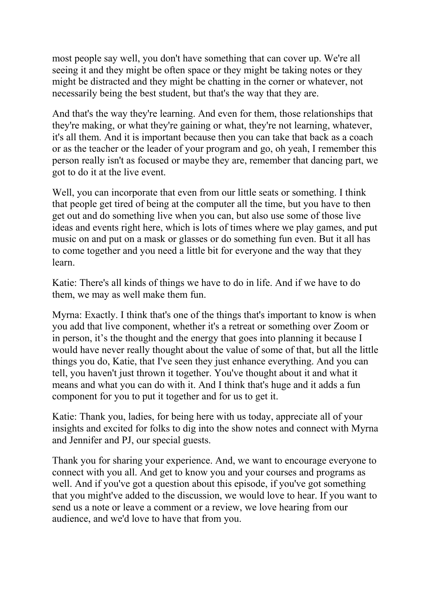most people say well, you don't have something that can cover up. We're all seeing it and they might be often space or they might be taking notes or they might be distracted and they might be chatting in the corner or whatever, not necessarily being the best student, but that's the way that they are.

And that's the way they're learning. And even for them, those relationships that they're making, or what they're gaining or what, they're not learning, whatever, it's all them. And it is important because then you can take that back as a coach or as the teacher or the leader of your program and go, oh yeah, I remember this person really isn't as focused or maybe they are, remember that dancing part, we got to do it at the live event.

Well, you can incorporate that even from our little seats or something. I think that people get tired of being at the computer all the time, but you have to then get out and do something live when you can, but also use some of those live ideas and events right here, which is lots of times where we play games, and put music on and put on a mask or glasses or do something fun even. But it all has to come together and you need a little bit for everyone and the way that they learn.

Katie: There's all kinds of things we have to do in life. And if we have to do them, we may as well make them fun.

Myrna: Exactly. I think that's one of the things that's important to know is when you add that live component, whether it's a retreat or something over Zoom or in person, it's the thought and the energy that goes into planning it because I would have never really thought about the value of some of that, but all the little things you do, Katie, that I've seen they just enhance everything. And you can tell, you haven't just thrown it together. You've thought about it and what it means and what you can do with it. And I think that's huge and it adds a fun component for you to put it together and for us to get it.

Katie: Thank you, ladies, for being here with us today, appreciate all of your insights and excited for folks to dig into the show notes and connect with Myrna and Jennifer and PJ, our special guests.

Thank you for sharing your experience. And, we want to encourage everyone to connect with you all. And get to know you and your courses and programs as well. And if you've got a question about this episode, if you've got something that you might've added to the discussion, we would love to hear. If you want to send us a note or leave a comment or a review, we love hearing from our audience, and we'd love to have that from you.